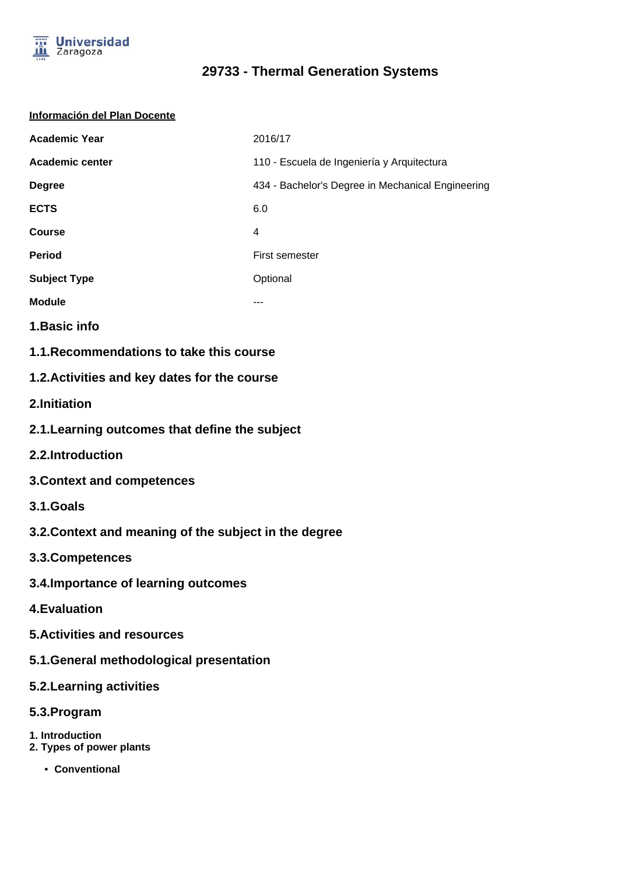

## **29733 - Thermal Generation Systems**

| Información del Plan Docente                          |                                                   |
|-------------------------------------------------------|---------------------------------------------------|
| <b>Academic Year</b>                                  | 2016/17                                           |
| Academic center                                       | 110 - Escuela de Ingeniería y Arquitectura        |
| <b>Degree</b>                                         | 434 - Bachelor's Degree in Mechanical Engineering |
| <b>ECTS</b>                                           | 6.0                                               |
| <b>Course</b>                                         | $\overline{4}$                                    |
| <b>Period</b>                                         | First semester                                    |
| <b>Subject Type</b>                                   | Optional                                          |
| <b>Module</b>                                         |                                                   |
| 1. Basic info                                         |                                                   |
| 1.1. Recommendations to take this course              |                                                   |
| 1.2. Activities and key dates for the course          |                                                   |
| 2.Initiation                                          |                                                   |
| 2.1. Learning outcomes that define the subject        |                                                   |
| 2.2.Introduction                                      |                                                   |
| <b>3. Context and competences</b>                     |                                                   |
| 3.1.Goals                                             |                                                   |
| 3.2. Context and meaning of the subject in the degree |                                                   |
| 3.3. Competences                                      |                                                   |
| 3.4. Importance of learning outcomes                  |                                                   |
| <b>4. Evaluation</b>                                  |                                                   |
| <b>5. Activities and resources</b>                    |                                                   |
| 5.1. General methodological presentation              |                                                   |
| 5.2. Learning activities                              |                                                   |
| 5.3. Program                                          |                                                   |
| 1. Introduction<br>2. Types of power plants           |                                                   |
| • Conventional                                        |                                                   |